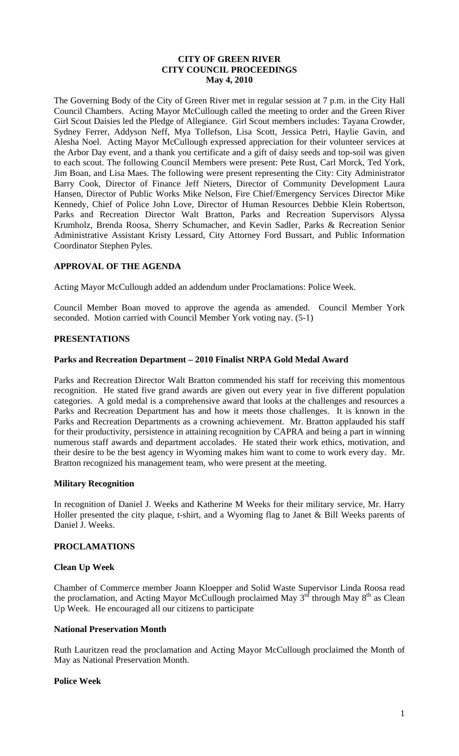### **CITY OF GREEN RIVER CITY COUNCIL PROCEEDINGS May 4, 2010**

The Governing Body of the City of Green River met in regular session at 7 p.m. in the City Hall Council Chambers. Acting Mayor McCullough called the meeting to order and the Green River Girl Scout Daisies led the Pledge of Allegiance. Girl Scout members includes: Tayana Crowder, Sydney Ferrer, Addyson Neff, Mya Tollefson, Lisa Scott, Jessica Petri, Haylie Gavin, and Alesha Noel. Acting Mayor McCullough expressed appreciation for their volunteer services at the Arbor Day event, and a thank you certificate and a gift of daisy seeds and top-soil was given to each scout. The following Council Members were present: Pete Rust, Carl Morck, Ted York, Jim Boan, and Lisa Maes. The following were present representing the City: City Administrator Barry Cook, Director of Finance Jeff Nieters, Director of Community Development Laura Hansen, Director of Public Works Mike Nelson, Fire Chief/Emergency Services Director Mike Kennedy, Chief of Police John Love, Director of Human Resources Debbie Klein Robertson, Parks and Recreation Director Walt Bratton, Parks and Recreation Supervisors Alyssa Krumholz, Brenda Roosa, Sherry Schumacher, and Kevin Sadler, Parks & Recreation Senior Administrative Assistant Kristy Lessard, City Attorney Ford Bussart, and Public Information Coordinator Stephen Pyles.

# **APPROVAL OF THE AGENDA**

Acting Mayor McCullough added an addendum under Proclamations: Police Week.

Council Member Boan moved to approve the agenda as amended. Council Member York seconded. Motion carried with Council Member York voting nay. (5-1)

# **PRESENTATIONS**

#### **Parks and Recreation Department – 2010 Finalist NRPA Gold Medal Award**

Parks and Recreation Director Walt Bratton commended his staff for receiving this momentous recognition. He stated five grand awards are given out every year in five different population categories. A gold medal is a comprehensive award that looks at the challenges and resources a Parks and Recreation Department has and how it meets those challenges. It is known in the Parks and Recreation Departments as a crowning achievement. Mr. Bratton applauded his staff for their productivity, persistence in attaining recognition by CAPRA and being a part in winning numerous staff awards and department accolades. He stated their work ethics, motivation, and their desire to be the best agency in Wyoming makes him want to come to work every day. Mr. Bratton recognized his management team, who were present at the meeting.

### **Military Recognition**

In recognition of Daniel J. Weeks and Katherine M Weeks for their military service, Mr. Harry Holler presented the city plaque, t-shirt, and a Wyoming flag to Janet & Bill Weeks parents of Daniel J. Weeks.

### **PROCLAMATIONS**

### **Clean Up Week**

Chamber of Commerce member Joann Kloepper and Solid Waste Supervisor Linda Roosa read the proclamation, and Acting Mayor McCullough proclaimed May  $3<sup>rd</sup>$  through May  $8<sup>th</sup>$  as Clean Up Week. He encouraged all our citizens to participate

#### **National Preservation Month**

Ruth Lauritzen read the proclamation and Acting Mayor McCullough proclaimed the Month of May as National Preservation Month.

### **Police Week**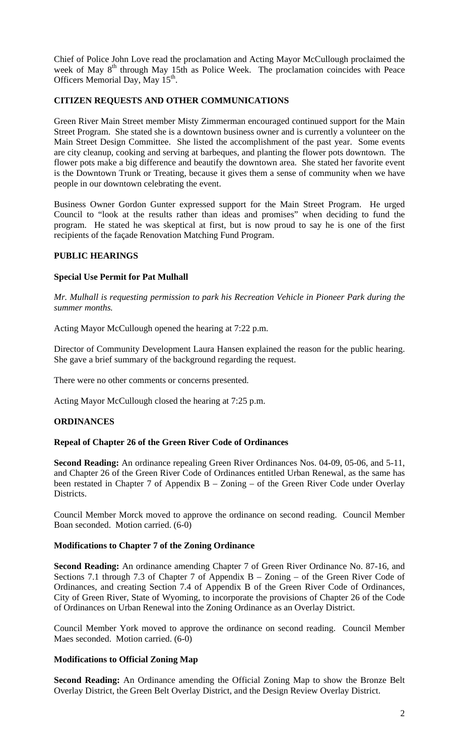Chief of Police John Love read the proclamation and Acting Mayor McCullough proclaimed the week of May 8<sup>th</sup> through May 15th as Police Week. The proclamation coincides with Peace Officers Memorial Day, May 15<sup>th</sup>.

### **CITIZEN REQUESTS AND OTHER COMMUNICATIONS**

Green River Main Street member Misty Zimmerman encouraged continued support for the Main Street Program. She stated she is a downtown business owner and is currently a volunteer on the Main Street Design Committee. She listed the accomplishment of the past year. Some events are city cleanup, cooking and serving at barbeques, and planting the flower pots downtown. The flower pots make a big difference and beautify the downtown area. She stated her favorite event is the Downtown Trunk or Treating, because it gives them a sense of community when we have people in our downtown celebrating the event.

Business Owner Gordon Gunter expressed support for the Main Street Program. He urged Council to "look at the results rather than ideas and promises" when deciding to fund the program. He stated he was skeptical at first, but is now proud to say he is one of the first recipients of the façade Renovation Matching Fund Program.

### **PUBLIC HEARINGS**

### **Special Use Permit for Pat Mulhall**

*Mr. Mulhall is requesting permission to park his Recreation Vehicle in Pioneer Park during the summer months.* 

Acting Mayor McCullough opened the hearing at 7:22 p.m.

Director of Community Development Laura Hansen explained the reason for the public hearing. She gave a brief summary of the background regarding the request.

There were no other comments or concerns presented.

Acting Mayor McCullough closed the hearing at 7:25 p.m.

### **ORDINANCES**

### **Repeal of Chapter 26 of the Green River Code of Ordinances**

**Second Reading:** An ordinance repealing Green River Ordinances Nos. 04-09, 05-06, and 5-11, and Chapter 26 of the Green River Code of Ordinances entitled Urban Renewal, as the same has been restated in Chapter 7 of Appendix B – Zoning – of the Green River Code under Overlay Districts.

Council Member Morck moved to approve the ordinance on second reading. Council Member Boan seconded. Motion carried. (6-0)

### **Modifications to Chapter 7 of the Zoning Ordinance**

**Second Reading:** An ordinance amending Chapter 7 of Green River Ordinance No. 87-16, and Sections 7.1 through 7.3 of Chapter 7 of Appendix B – Zoning – of the Green River Code of Ordinances, and creating Section 7.4 of Appendix B of the Green River Code of Ordinances, City of Green River, State of Wyoming, to incorporate the provisions of Chapter 26 of the Code of Ordinances on Urban Renewal into the Zoning Ordinance as an Overlay District.

Council Member York moved to approve the ordinance on second reading. Council Member Maes seconded. Motion carried. (6-0)

#### **Modifications to Official Zoning Map**

**Second Reading:** An Ordinance amending the Official Zoning Map to show the Bronze Belt Overlay District, the Green Belt Overlay District, and the Design Review Overlay District.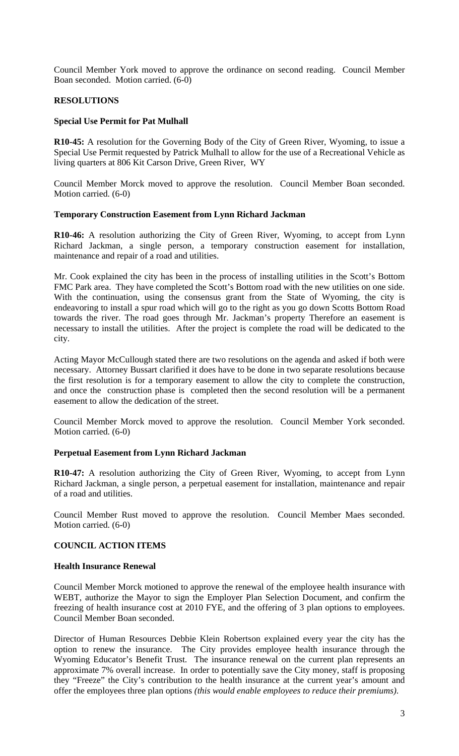Council Member York moved to approve the ordinance on second reading. Council Member Boan seconded. Motion carried. (6-0)

### **RESOLUTIONS**

### **Special Use Permit for Pat Mulhall**

**R10-45:** A resolution for the Governing Body of the City of Green River, Wyoming, to issue a Special Use Permit requested by Patrick Mulhall to allow for the use of a Recreational Vehicle as living quarters at 806 Kit Carson Drive, Green River, WY

Council Member Morck moved to approve the resolution. Council Member Boan seconded. Motion carried. (6-0)

### **Temporary Construction Easement from Lynn Richard Jackman**

**R10-46:** A resolution authorizing the City of Green River, Wyoming, to accept from Lynn Richard Jackman, a single person, a temporary construction easement for installation, maintenance and repair of a road and utilities.

Mr. Cook explained the city has been in the process of installing utilities in the Scott's Bottom FMC Park area. They have completed the Scott's Bottom road with the new utilities on one side. With the continuation, using the consensus grant from the State of Wyoming, the city is endeavoring to install a spur road which will go to the right as you go down Scotts Bottom Road towards the river. The road goes through Mr. Jackman's property Therefore an easement is necessary to install the utilities. After the project is complete the road will be dedicated to the city.

Acting Mayor McCullough stated there are two resolutions on the agenda and asked if both were necessary. Attorney Bussart clarified it does have to be done in two separate resolutions because the first resolution is for a temporary easement to allow the city to complete the construction, and once the construction phase is completed then the second resolution will be a permanent easement to allow the dedication of the street.

Council Member Morck moved to approve the resolution. Council Member York seconded. Motion carried. (6-0)

### **Perpetual Easement from Lynn Richard Jackman**

**R10-47:** A resolution authorizing the City of Green River, Wyoming, to accept from Lynn Richard Jackman, a single person, a perpetual easement for installation, maintenance and repair of a road and utilities.

Council Member Rust moved to approve the resolution. Council Member Maes seconded. Motion carried. (6-0)

# **COUNCIL ACTION ITEMS**

### **Health Insurance Renewal**

Council Member Morck motioned to approve the renewal of the employee health insurance with WEBT, authorize the Mayor to sign the Employer Plan Selection Document, and confirm the freezing of health insurance cost at 2010 FYE, and the offering of 3 plan options to employees. Council Member Boan seconded.

Director of Human Resources Debbie Klein Robertson explained every year the city has the option to renew the insurance. The City provides employee health insurance through the Wyoming Educator's Benefit Trust. The insurance renewal on the current plan represents an approximate 7% overall increase. In order to potentially save the City money, staff is proposing they "Freeze" the City's contribution to the health insurance at the current year's amount and offer the employees three plan options *(this would enable employees to reduce their premiums)*.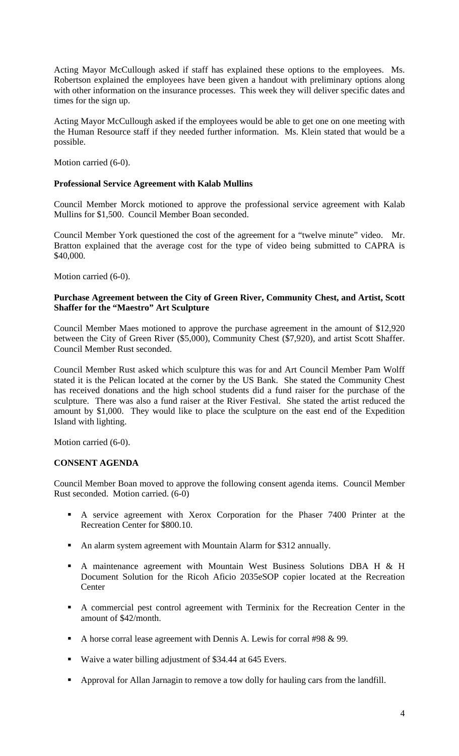Acting Mayor McCullough asked if staff has explained these options to the employees. Ms. Robertson explained the employees have been given a handout with preliminary options along with other information on the insurance processes. This week they will deliver specific dates and times for the sign up.

Acting Mayor McCullough asked if the employees would be able to get one on one meeting with the Human Resource staff if they needed further information. Ms. Klein stated that would be a possible.

Motion carried (6-0).

# **Professional Service Agreement with Kalab Mullins**

Council Member Morck motioned to approve the professional service agreement with Kalab Mullins for \$1,500. Council Member Boan seconded.

Council Member York questioned the cost of the agreement for a "twelve minute" video. Mr. Bratton explained that the average cost for the type of video being submitted to CAPRA is \$40,000.

Motion carried (6-0).

### **Purchase Agreement between the City of Green River, Community Chest, and Artist, Scott Shaffer for the "Maestro" Art Sculpture**

Council Member Maes motioned to approve the purchase agreement in the amount of \$12,920 between the City of Green River (\$5,000), Community Chest (\$7,920), and artist Scott Shaffer. Council Member Rust seconded.

Council Member Rust asked which sculpture this was for and Art Council Member Pam Wolff stated it is the Pelican located at the corner by the US Bank. She stated the Community Chest has received donations and the high school students did a fund raiser for the purchase of the sculpture. There was also a fund raiser at the River Festival. She stated the artist reduced the amount by \$1,000. They would like to place the sculpture on the east end of the Expedition Island with lighting.

Motion carried (6-0).

### **CONSENT AGENDA**

Council Member Boan moved to approve the following consent agenda items. Council Member Rust seconded. Motion carried. (6-0)

- A service agreement with Xerox Corporation for the Phaser 7400 Printer at the Recreation Center for \$800.10.
- An alarm system agreement with Mountain Alarm for \$312 annually.
- A maintenance agreement with Mountain West Business Solutions DBA H & H Document Solution for the Ricoh Aficio 2035eSOP copier located at the Recreation **Center**
- A commercial pest control agreement with Terminix for the Recreation Center in the amount of \$42/month.
- A horse corral lease agreement with Dennis A. Lewis for corral #98  $\&$  99.
- Waive a water billing adjustment of \$34.44 at 645 Evers.
- Approval for Allan Jarnagin to remove a tow dolly for hauling cars from the landfill.